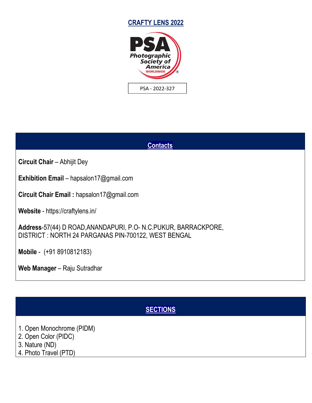





# **SECTIONS**

- 1. Open Monochrome (PIDM)
- 2. Open Color (PIDC)
- 3. Nature (ND)
- 4. Photo Travel (PTD)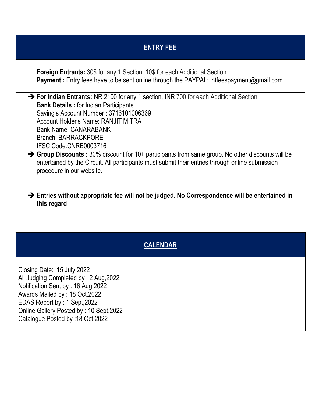| <b>ENTRY FEE</b>                                                                                                                                                                                                                                                                                                |  |
|-----------------------------------------------------------------------------------------------------------------------------------------------------------------------------------------------------------------------------------------------------------------------------------------------------------------|--|
| <b>Foreign Entrants:</b> 30\$ for any 1 Section, 10\$ for each Additional Section<br><b>Payment:</b> Entry fees have to be sent online through the PAYPAL: intfeespayment@gmail.com                                                                                                                             |  |
| → For Indian Entrants: INR 2100 for any 1 section, INR 700 for each Additional Section<br><b>Bank Details: for Indian Participants:</b><br>Saving's Account Number: 3716101006369<br><b>Account Holder's Name: RANJIT MITRA</b><br><b>Bank Name: CANARABANK</b><br>Branch: BARRACKPORE<br>IFSC Code:CNRB0003716 |  |
| $\rightarrow$ Group Discounts : 30% discount for 10+ participants from same group. No other discounts will be<br>entertained by the Circuit. All participants must submit their entries through online submission<br>procedure in our website.                                                                  |  |

# **CALENDAR**

Closing Date: 15 July,2022 All Judging Completed by : 2 Aug,2022 Notification Sent by : 16 Aug,2022 Awards Mailed by : 18 Oct,2022 EDAS Report by : 1 Sept,2022 Online Gallery Posted by : 10 Sept,2022 Catalogue Posted by :18 Oct,2022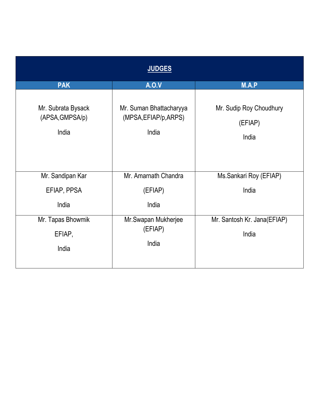|                                                | <b>JUDGES</b>                                             |                                             |
|------------------------------------------------|-----------------------------------------------------------|---------------------------------------------|
| <b>PAK</b>                                     | <b>A.O.V</b>                                              | M.A.P                                       |
| Mr. Subrata Bysack<br>(APSA, GMPSA/p)<br>India | Mr. Suman Bhattacharyya<br>(MPSA, EFIAP/p, ARPS)<br>India | Mr. Sudip Roy Choudhury<br>(EFIAP)<br>India |
| Mr. Sandipan Kar                               | Mr. Amarnath Chandra                                      | Ms.Sankari Roy (EFIAP)                      |
| EFIAP, PPSA                                    | (EFIAP)                                                   | India                                       |
| India                                          | India                                                     |                                             |
| Mr. Tapas Bhowmik<br>EFIAP,<br>India           | Mr.Swapan Mukherjee<br>(EFIAP)<br>India                   | Mr. Santosh Kr. Jana(EFIAP)<br>India        |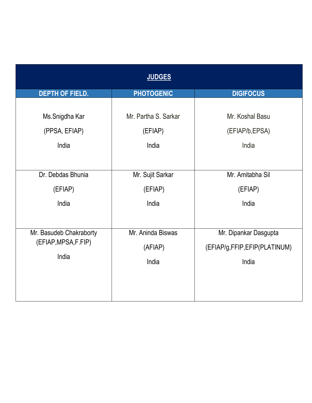|                         | <b>JUDGES</b>        |                              |
|-------------------------|----------------------|------------------------------|
| <b>DEPTH OF FIELD.</b>  | <b>PHOTOGENIC</b>    | <b>DIGIFOCUS</b>             |
| Ms.Snigdha Kar          | Mr. Partha S. Sarkar | Mr. Koshal Basu              |
| (PPSA, EFIAP)           | (EFIAP)              | (EFIAP/b, EPSA)              |
| India                   | India                | India                        |
| Dr. Debdas Bhunia       | Mr. Sujit Sarkar     | Mr. Amitabha Sil             |
| (EFIAP)                 | (EFIAP)              | (EFIAP)                      |
| India                   | India                | India                        |
| Mr. Basudeb Chakraborty | Mr. Aninda Biswas    | Mr. Dipankar Dasgupta        |
| (EFIAP, MPSA, F.FIP)    | (AFIAP)              | (EFIAP/g,FFIP,EFIP(PLATINUM) |
| India                   | India                | India                        |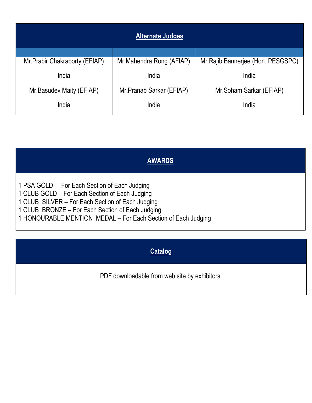|                                | <b>Alternate Judges</b>  |                                    |
|--------------------------------|--------------------------|------------------------------------|
|                                |                          |                                    |
| Mr. Prabir Chakraborty (EFIAP) | Mr.Mahendra Rong (AFIAP) | Mr. Rajib Bannerjee (Hon. PESGSPC) |
|                                |                          |                                    |
| India                          | India                    | India                              |
| Mr.Basudev Maity (EFIAP)       | Mr.Pranab Sarkar (EFIAP) | Mr.Soham Sarkar (EFIAP)            |
|                                |                          |                                    |
| India                          | India                    | India                              |
|                                |                          |                                    |

# **AWARDS**

1 PSA GOLD – For Each Section of Each Judging

1 CLUB GOLD – For Each Section of Each Judging

1 CLUB SILVER – For Each Section of Each Judging

1 CLUB BRONZE – For Each Section of Each Judging

1 HONOURABLE MENTION MEDAL – For Each Section of Each Judging

# **Catalog**

PDF downloadable from web site by exhibitors.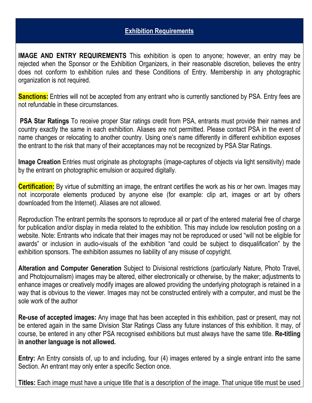#### **Exhibition Requirements**

**IMAGE AND ENTRY REQUIREMENTS** This exhibition is open to anyone; however, an entry may be rejected when the Sponsor or the Exhibition Organizers, in their reasonable discretion, believes the entry does not conform to exhibition rules and these Conditions of Entry. Membership in any photographic organization is not required.

**Sanctions:** Entries will not be accepted from any entrant who is currently sanctioned by PSA. Entry fees are not refundable in these circumstances.

**PSA Star Ratings** To receive proper Star ratings credit from PSA, entrants must provide their names and country exactly the same in each exhibition. Aliases are not permitted. Please contact PSA in the event of name changes or relocating to another country. Using one's name differently in different exhibition exposes the entrant to the risk that many of their acceptances may not be recognized by PSA Star Ratings.

**Image Creation** Entries must originate as photographs (image-captures of objects via light sensitivity) made by the entrant on photographic emulsion or acquired digitally.

**Certification:** By virtue of submitting an image, the entrant certifies the work as his or her own. Images may not incorporate elements produced by anyone else (for example: clip art, images or art by others downloaded from the Internet). Aliases are not allowed.

Reproduction The entrant permits the sponsors to reproduce all or part of the entered material free of charge for publication and/or display in media related to the exhibition. This may include low resolution posting on a website. Note: Entrants who indicate that their images may not be reproduced or used "will not be eligible for awards" or inclusion in audio-visuals of the exhibition "and could be subject to disqualification" by the exhibition sponsors. The exhibition assumes no liability of any misuse of copyright.

**Alteration and Computer Generation** Subject to Divisional restrictions (particularly Nature, Photo Travel, and Photojournalism) images may be altered, either electronically or otherwise, by the maker; adjustments to enhance images or creatively modify images are allowed providing the underlying photograph is retained in a way that is obvious to the viewer. Images may not be constructed entirely with a computer, and must be the sole work of the author

**Re-use of accepted images:** Any image that has been accepted in this exhibition, past or present, may not be entered again in the same Division Star Ratings Class any future instances of this exhibition. It may, of course, be entered in any other PSA recognised exhibitions but mustalways have the same title. **Re-titling in another language is not allowed.**

**Entry:** An Entry consists of, up to and including, four (4) images entered by a single entrant into the same Section. An entrant may only enter a specific Section once.

**Titles:** Each image must have a unique title that is a description of the image. That unique title must be used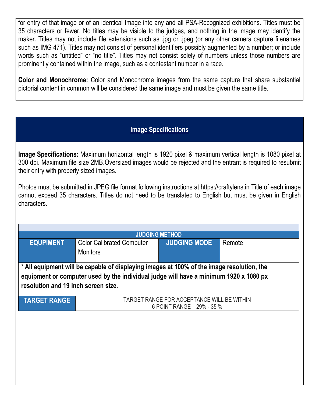for entry of that image or of an identical Image into any and all PSA-Recognized exhibitions. Titles must be 35 characters or fewer. No titles may be visible to the judges, and nothing in the image may identify the maker. Titles may not include file extensions such as .jpg or .jpeg (or any other camera capture filenames such as IMG 471). Titles may not consist of personal identifiers possibly augmented by a number; or include words such as "untitled" or "no title". Titles may not consist solely of numbers unless those numbers are prominently contained within the image, such as a contestant number in a race.

**Color and Monochrome:** Color and Monochrome images from the same capture that share substantial pictorial content in common will be considered the same image and must be given the same title.

### **Image Specifications**

**Image Specifications:** Maximum horizontal length is 1920 pixel & maximum vertical length is 1080 pixel at 300 dpi. Maximum file size 2MB.Oversized images would be rejected and the entrant is required to resubmit their entry with properly sized images.

Photos must be submitted in JPEG file format following instructions at https://craftylens.in Title of each image cannot exceed 35 characters. Titles do not need to be translated to English but must be given in English characters.

| <b>EQUPIMENT</b>                    | <b>Color Calibrated Computer</b>                                                          | <b>JUDGING METHOD</b><br><b>JUDGING MODE</b> | Remote |
|-------------------------------------|-------------------------------------------------------------------------------------------|----------------------------------------------|--------|
|                                     | <b>Monitors</b>                                                                           |                                              |        |
|                                     | * All equipment will be capable of displaying images at 100% of the image resolution, the |                                              |        |
|                                     | equipment or computer used by the individual judge will have a minimum 1920 x 1080 px     |                                              |        |
| resolution and 19 inch screen size. |                                                                                           |                                              |        |
| <b>TARGET RANGE</b>                 | TARGET RANGE FOR ACCEPTANCE WILL BE WITHIN                                                |                                              |        |
|                                     | 6 POINT RANGE - 29% - 35 %                                                                |                                              |        |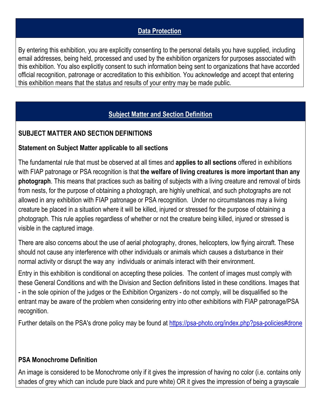### **Data Protection**

By entering this exhibition, you are explicitly consenting to the personal details you have supplied, including email addresses, being held, processed and used by the exhibition organizers for purposes associated with this exhibition. You also explicitly consent to such information being sent to organizations that have accorded official recognition, patronage or accreditation to this exhibition. You acknowledge and accept that entering this exhibition means that the status and results of your entry may be made public.

# **Subject Matter and Section Definition**

### **SUBJECT MATTER AND SECTION DEFINITIONS**

#### **Statement on Subject Matter applicable to all sections**

The fundamental rule that must be observed at all times and **applies to all sections** offered in exhibitions with FIAP patronage or PSA recognition is that **the welfare of living creatures is more important than any photograph**. This means that practices such as baiting of subjects with a living creature and removal of birds from nests, for the purpose of obtaining a photograph, are highly unethical, and such photographs are not allowed in any exhibition with FIAP patronage or PSA recognition. Under no circumstances may a living creature be placed in a situation where it will be killed, injured or stressed for the purpose of obtaining a photograph. This rule applies regardless of whether or not the creature being killed, injured or stressed is visible in the captured image.

There are also concerns about the use of aerial photography, drones, helicopters, low flying aircraft. These should not cause any interference with other individuals or animals which causes a disturbance in their normal activity or disrupt the way any individuals or animals interact with their environment.

Entry in this exhibition is conditional on accepting these policies. The content of images must comply with these General Conditions and with the Division and Section definitions listed in these conditions. Images that - in the sole opinion of the judges or the Exhibition Organizers - do not comply, will be disqualified so the entrant may be aware of the problem when considering entry into other exhibitions with FIAP patronage/PSA recognition.

Further details on the PSA's drone policy may be found at [https://psa-photo.org/index.php?psa-policies#drone](https://psa-photo.org/index.php?psa-policies%23drone)

#### **PSA Monochrome Definition**

An image is considered to be Monochrome only if it gives the impression of having no color (i.e. contains only shades of grey which can include pure black and pure white) OR it gives the impression of being a grayscale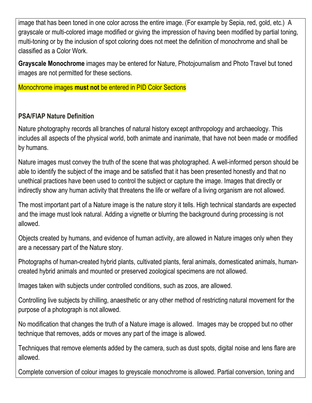image that has been toned in one color across the entire image. (For example by Sepia, red, gold, etc.) A grayscale or multi-colored image modified or giving the impression of having been modified by partial toning, multi-toning or by the inclusion of spot coloring does not meet the definition of monochrome and shall be classified as a Color Work.

**Grayscale Monochrome** images may be entered for Nature, Photojournalism and Photo Travel but toned images are not permitted for these sections.

Monochrome images **must not** be entered in PID Color Sections

# **PSA/FIAP Nature Definition**

Nature photography records all branches of natural history except anthropology and archaeology. This includes all aspects of the physical world, both animate and inanimate, that have not been made or modified by humans.

Nature images must convey the truth of the scene that was photographed. A well-informed person should be able to identify the subject of the image and be satisfied that it has been presented honestly and that no unethical practices have been used to control the subject or capture the image. Images that directly or indirectly show any human activity that threatens the life or welfare of a living organism are not allowed.

The most important part of a Nature image is the nature story it tells. High technical standards are expected and the image must look natural. Adding a vignette or blurring the background during processing is not allowed.

Objects created by humans, and evidence of human activity, are allowed in Nature images only when they are a necessary part of the Nature story.

Photographs of human-created hybrid plants, cultivated plants, feral animals, domesticated animals, human created hybrid animals and mounted or preserved zoological specimens are not allowed.

Images taken with subjects under controlled conditions, such as zoos, are allowed.

Controlling live subjects by chilling, anaesthetic or any other method of restricting natural movement for the purpose of a photograph is not allowed.

No modification that changes the truth of a Nature image is allowed. Images may be cropped but no other technique that removes, adds or moves any part of the image is allowed.

Techniques that remove elements added by the camera, such as dust spots, digital noise and lens flare are allowed.

Complete conversion of colour images to greyscale monochrome is allowed. Partial conversion, toning and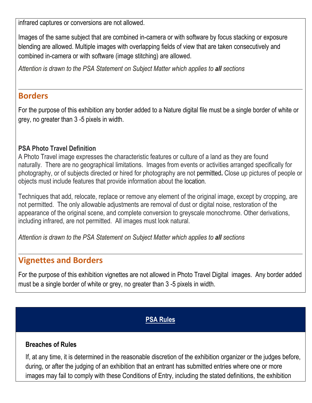infrared captures or conversions are not allowed.

Images of the same subject that are combined in-camera or with software by focus stacking or exposure blending are allowed. Multiple images with overlapping fields of view that are taken consecutively and combined in-camera or with software (image stitching) are allowed.

*Attention is drawn to the PSA Statement on Subject Matter which applies to all sections*

### **Borders**

For the purpose of this exhibition any border added to a Nature digital file must be a single border of white or grey, no greater than 3 -5 pixels in width.

### **PSA Photo Travel Definition**

A Photo Travel image expresses the characteristic features or culture of a land as they are found naturally. There are no geographical limitations. Images from events or activities arranged specifically for photography, or of subjects directed or hired for photography are not permitted**.** Close up pictures of people or objects must include features that provide information about the location.

Techniques that add, relocate, replace or remove any element of the original image, except by cropping, are not permitted. The only allowable adjustments are removal of dust or digital noise, restoration of the appearance of the original scene, and complete conversion to greyscale monochrome. Other derivations, including infrared, are not permitted. All images must look natural.

*Attention is drawn to the PSA Statement on Subject Matter which applies to all sections*

# **Vignettes and Borders**

For the purpose of this exhibition vignettes are not allowed in Photo Travel Digital images. Any border added must be a single border of white or grey, no greater than 3 -5 pixels in width.

### **PSA Rules**

#### **Breaches of Rules**

If, at any time, it is determined in the reasonable discretion of the exhibition organizer or the judges before, during, or after the judging of an exhibition that an entrant has submitted entries where one or more images may fail to comply with these Conditions of Entry, including the stated definitions, the exhibition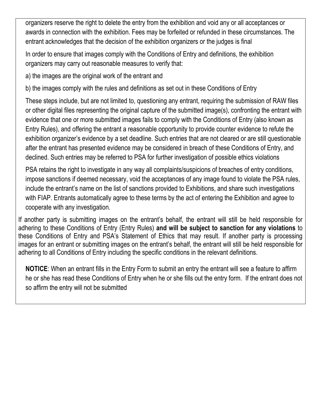organizers reserve the right to delete the entry from the exhibition and void any or all acceptances or awards in connection with the exhibition. Fees may be forfeited or refunded in these circumstances. The entrant acknowledges that the decision of the exhibition organizers or the judges is final

In order to ensure that images comply with the Conditions of Entry and definitions, the exhibition organizers may carry out reasonable measures to verify that:

a) the images are the original work of the entrant and

b) the images comply with the rules and definitions as set out in these Conditions of Entry

These steps include, but are not limited to, questioning any entrant, requiring the submission of RAW files or other digital files representing the original capture of the submitted image(s), confronting the entrant with evidence that one or more submitted images fails to comply with the Conditions of Entry (also known as Entry Rules), and offering the entrant a reasonable opportunity to provide counter evidence to refute the exhibition organizer's evidence by a set deadline. Such entries that are not cleared or are still questionable after the entrant has presented evidence may be considered in breach of these Conditions of Entry, and declined. Such entries may be referred to PSA for further investigation of possible ethics violations

PSA retains the right to investigate in any way all complaints/suspicions of breaches of entry conditions, impose sanctions if deemed necessary, void the acceptances of any image found to violate the PSA rules, include the entrant's name on the list of sanctions provided to Exhibitions, and share such investigations with FIAP. Entrants automatically agree to these terms by the act of entering the Exhibition and agree to cooperate with any investigation.

If another party is submitting images on the entrant's behalf, the entrant will still be held responsible for adhering to these Conditions of Entry (Entry Rules)**and will be subject to sanction for any violations** to these Conditions of Entry and PSA's Statement of Ethics that may result. If another party is processing images for an entrant or submitting images on the entrant's behalf, the entrant will still be held responsible for adhering to all Conditions of Entry including the specific conditions in the relevant definitions.

**NOTICE**: When an entrant fills in the Entry Form to submit an entry the entrant will see a feature to affirm he or she has read these Conditions of Entry when he or she fills out the entry form. If the entrant does not so affirm the entry will not be submitted